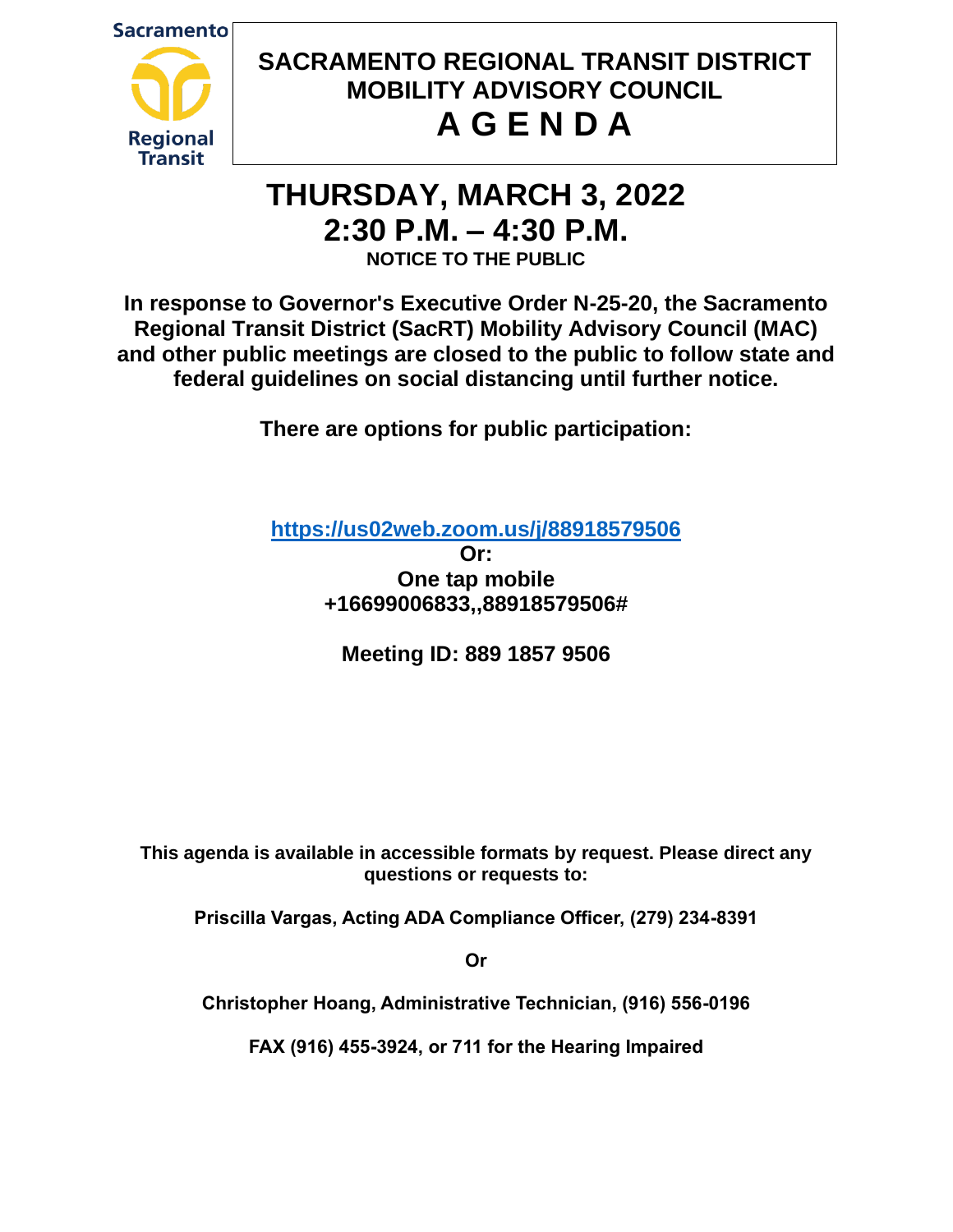**Sacramento** 



# **SACRAMENTO REGIONAL TRANSIT DISTRICT MOBILITY ADVISORY COUNCIL A G E N D A**

# **THURSDAY, MARCH 3, 2022 2:30 P.M. – 4:30 P.M. NOTICE TO THE PUBLIC**

**In response to Governor's Executive Order N-25-20, the Sacramento Regional Transit District (SacRT) Mobility Advisory Council (MAC) and other public meetings are closed to the public to follow state and federal guidelines on social distancing until further notice.**

**There are options for public participation:**

**<https://us02web.zoom.us/j/88918579506>**

**Or: One tap mobile +16699006833,,88918579506#**

**Meeting ID: 889 1857 9506**

**This agenda is available in accessible formats by request. Please direct any questions or requests to:**

**Priscilla Vargas, Acting ADA Compliance Officer, (279) 234-8391**

**Or**

**Christopher Hoang, Administrative Technician, (916) 556-0196**

**FAX (916) 455-3924, or 711 for the Hearing Impaired**